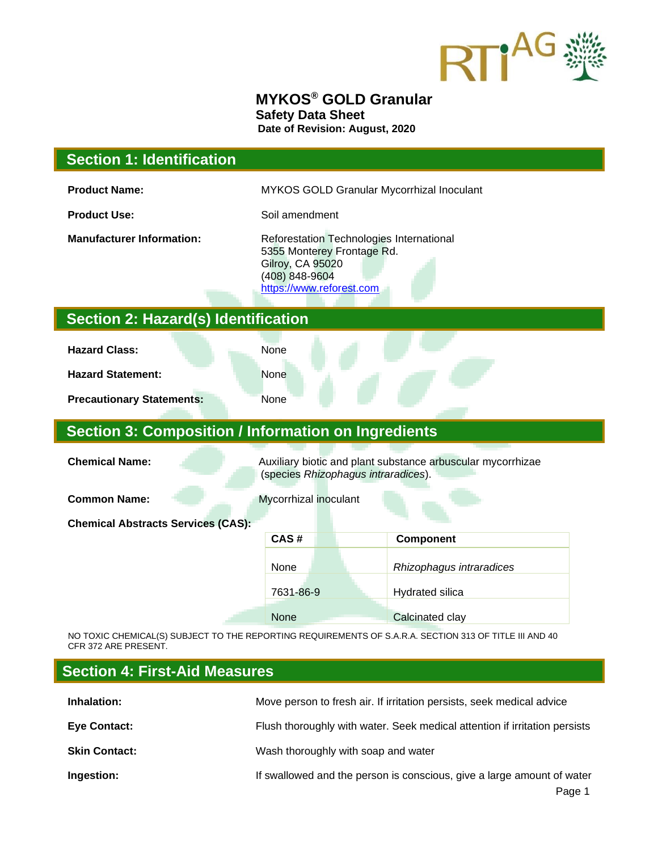

### **MYKOS® GOLD Granular Safety Data Sheet Date of Revision: August, 2020**

### **Section 1: Identification**

**Product Name:** MYKOS GOLD Granular Mycorrhizal Inoculant

**Product Use:** Soil amendment

**Manufacturer Information:** Reforestation Technologies International 5355 Monterey Frontage Rd. Gilroy, CA 95020 (408) 848-9604 [https://www.reforest.com](https://www.reforest.com/)

## **Section 2: Hazard(s) Identification**

**Hazard Class:** None

**Hazard Statement:** None

**Precautionary Statements:** None

### **Section 3: Composition / Information on Ingredients**

**Chemical Name:** Auxiliary biotic and plant substance arbuscular mycorrhizae (species *Rhizophagus intraradices*).

**Common Name:** Mycorrhizal inoculant

**Chemical Abstracts Services (CAS):**

| CAS#      | <b>Component</b>         |
|-----------|--------------------------|
| None      | Rhizophagus intraradices |
| 7631-86-9 | <b>Hydrated silica</b>   |
| None      | Calcinated clay          |

NO TOXIC CHEMICAL(S) SUBJECT TO THE REPORTING REQUIREMENTS OF S.A.R.A. SECTION 313 OF TITLE III AND 40 CFR 372 ARE PRESENT.

### **Section 4: First-Aid Measures**

| Inhalation:          | Move person to fresh air. If irritation persists, seek medical advice      |
|----------------------|----------------------------------------------------------------------------|
| <b>Eye Contact:</b>  | Flush thoroughly with water. Seek medical attention if irritation persists |
| <b>Skin Contact:</b> | Wash thoroughly with soap and water                                        |
| Ingestion:           | If swallowed and the person is conscious, give a large amount of water     |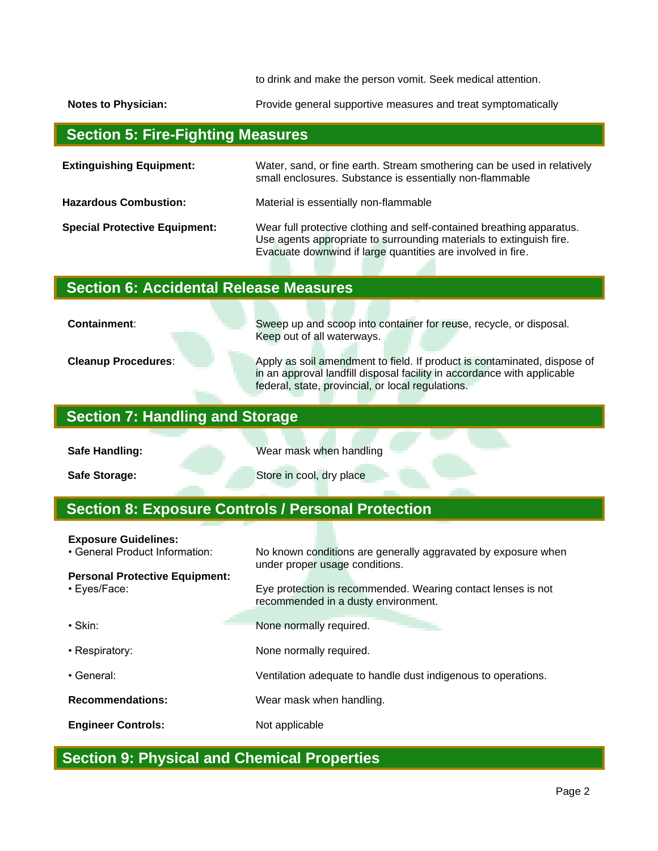to drink and make the person vomit. Seek medical attention.

**Notes to Physician:** Provide general supportive measures and treat symptomatically

# **Section 5: Fire-Fighting Measures**

| <b>Extinguishing Equipment:</b>      | Water, sand, or fine earth. Stream smothering can be used in relatively<br>small enclosures. Substance is essentially non-flammable                                                                         |
|--------------------------------------|-------------------------------------------------------------------------------------------------------------------------------------------------------------------------------------------------------------|
| <b>Hazardous Combustion:</b>         | Material is essentially non-flammable                                                                                                                                                                       |
| <b>Special Protective Equipment:</b> | Wear full protective clothing and self-contained breathing apparatus.<br>Use agents appropriate to surrounding materials to extinguish fire.<br>Evacuate downwind if large quantities are involved in fire. |

# **Section 6: Accidental Release Measures**

**Containment:** Sweep up and scoop into container for reuse, recycle, or disposal.

Keep out of all waterways. **Cleanup Procedures:** Apply as soil amendment to field. If product is contaminated, dispose of

in an approval landfill disposal facility in accordance with applicable federal, state, provincial, or local regulations.

## **Section 7: Handling and Storage**

**Safe Handling: Wear mask when handling** 

**Safe Storage:** Store in cool, dry place

# **Section 8: Exposure Controls / Personal Protection**

#### **Exposure Guidelines:**

| • General Product Information:                        | No known conditions are generally aggravated by exposure when<br>under proper usage conditions.     |
|-------------------------------------------------------|-----------------------------------------------------------------------------------------------------|
| <b>Personal Protective Equipment:</b><br>• Eyes/Face: | Eye protection is recommended. Wearing contact lenses is not<br>recommended in a dusty environment. |
| $\cdot$ Skin:                                         | None normally required.                                                                             |
| • Respiratory:                                        | None normally required.                                                                             |
| $\cdot$ General:                                      | Ventilation adequate to handle dust indigenous to operations.                                       |
| <b>Recommendations:</b>                               | Wear mask when handling.                                                                            |
| <b>Engineer Controls:</b>                             | Not applicable                                                                                      |

# **Section 9: Physical and Chemical Properties**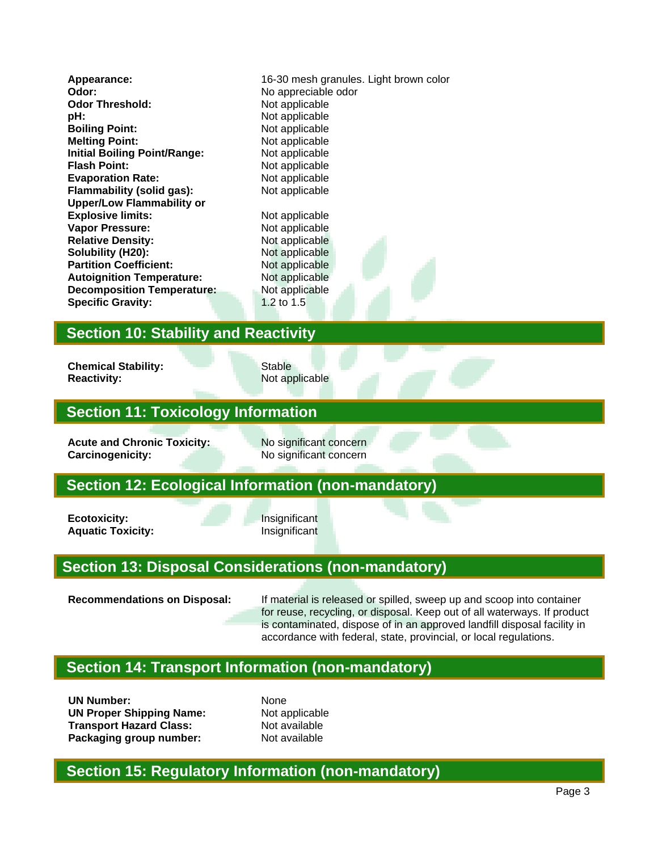**Odor:** No appreciable odor **Odor Threshold:** Not applicable **pH:** Not applicable **Boiling Point:** Not applicable **Melting Point:** Not applicable **Initial Boiling Point/Range:** Not applicable<br> **Flash Point:** Not applicable **Evaporation Rate:** Not applicable **Flammability (solid gas):** Not applicable **Upper/Low Flammability or Explosive limits:** Not applicable **Vapor Pressure:** Not applicable **Relative Density:** Not applicable **Solubility (H20):** Not applicable **Partition Coefficient:** Not applicable **Autoignition Temperature:** Not applicable **Decomposition Temperature:** Not applicable **Specific Gravity:** 1.2 to 1.5

**Appearance:** 16-30 mesh granules. Light brown color **Not applicable** 

### **Section 10: Stability and Reactivity**

**Chemical Stability:** Stable **Reactivity:** Not applicable

## **Section 11: Toxicology Information**

**Acute and Chronic Toxicity:** No significant concern **Carcinogenicity:** No significant concern

### **Section 12: Ecological Information (non-mandatory)**

**Ecotoxicity:** Insignificant **Aquatic Toxicity:** Insignificant

## **Section 13: Disposal Considerations (non-mandatory)**

**Recommendations on Disposal:** If material is released or spilled, sweep up and scoop into container for reuse, recycling, or disposal. Keep out of all waterways. If product is contaminated, dispose of in an approved landfill disposal facility in accordance with federal, state, provincial, or local regulations.

### **Section 14: Transport Information (non-mandatory)**

**UN Number:** None **UN Proper Shipping Name:** Not applicable **Transport Hazard Class:** Not available **Packaging group number:** Not available

### **Section 15: Regulatory Information (non-mandatory)**